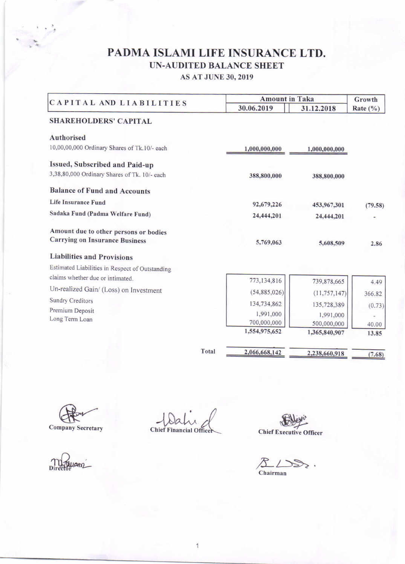# PADMA ISLAMI LIFE INSURANCE LTD. UN-AUDITED BALANCE SHEET

AS AT JUNE 30,2OT9

| CAPITAL AND LIABILITIES                                                        | <b>Amount in Taka</b> | Growth         |              |
|--------------------------------------------------------------------------------|-----------------------|----------------|--------------|
|                                                                                | 30.06.2019            | 31.12.2018     | Rate $(\% )$ |
| <b>SHAREHOLDERS' CAPITAL</b>                                                   |                       |                |              |
| <b>Authorised</b>                                                              |                       |                |              |
| 10,00,00,000 Ordinary Shares of Tk.10/- each                                   | 1,000,000,000         | 1,000,000,000  |              |
| Issued, Subscribed and Paid-up                                                 |                       |                |              |
| 3,38,80,000 Ordinary Shares of Tk. 10/- each                                   | 388,800,000           | 388,800,000    |              |
| <b>Balance of Fund and Accounts</b>                                            |                       |                |              |
| <b>Life Insurance Fund</b>                                                     | 92,679,226            | 453,967,301    | (79.58)      |
| Sadaka Fund (Padma Welfare Fund)                                               | 24,444,201            | 24,444,201     |              |
| Amount due to other persons or bodies<br><b>Carrying on Insurance Business</b> | 5,769,063             | 5,608,509      | 2.86         |
| <b>Liabilities and Provisions</b>                                              |                       |                |              |
| Estimated Liabilities in Respect of Outstanding                                |                       |                |              |
| claims whether due or intimated.                                               | 773,134,816           | 739,878,665    | 4.49         |
| Un-realized Gain/ (Loss) on Investment                                         | (54,885,026)          | (11, 757, 147) | 366.82       |
| <b>Sundry Creditors</b>                                                        | 134,734,862           | 135,728,389    | (0.73)       |
| Premium Deposit                                                                | 1,991,000             | 1,991,000      |              |
| Long Term Loan                                                                 | 700,000,000           | 500,000,000    | 40.00        |
|                                                                                | 1,554,975,652         | 1,365,840,907  | 13.85        |
| Total                                                                          | 2,066,668,142         | 2,238,660,918  | (7.68)       |

Director

Company Secretary ... Chief Financial Office

1

allen **Officer** 

 $\mathcal{L}$  $\gg$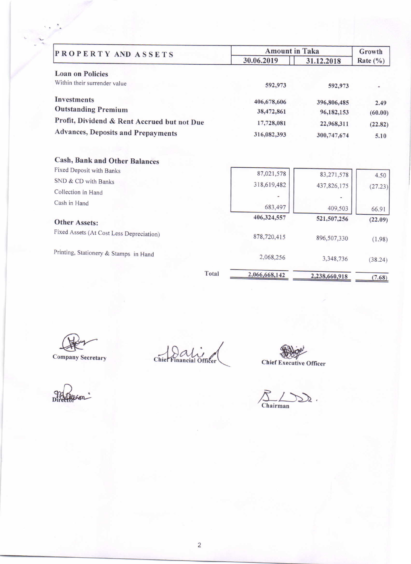| PROPERTY AND ASSETS                         | <b>Amount in Taka</b> | Growth        |              |
|---------------------------------------------|-----------------------|---------------|--------------|
|                                             | 30.06.2019            | 31.12.2018    | Rate $(\% )$ |
| <b>Loan on Policies</b>                     |                       |               |              |
| Within their surrender value                | 592,973               | 592,973       |              |
| <b>Investments</b>                          | 406,678,606           | 396,806,485   | 2.49         |
| <b>Outstanding Premium</b>                  | 38,472,861            | 96,182,153    | (60.00)      |
| Profit, Dividend & Rent Accrued but not Due | 17,728,081            | 22,968,311    | (22.82)      |
| <b>Advances, Deposits and Prepayments</b>   | 316,082,393           | 300,747,674   | 5.10         |
| <b>Cash, Bank and Other Balances</b>        |                       |               |              |
| Fixed Deposit with Banks                    | 87,021,578            | 83,271,578    | 4.50         |
| SND & CD with Banks                         | 318,619,482           | 437,826,175   | (27.23)      |
| Collection in Hand                          |                       |               |              |
| Cash in Hand                                | 683,497               | 409,503       | 66.91        |
| <b>Other Assets:</b>                        | 406,324,557           | 521,507,256   | (22.09)      |
| Fixed Assets (At Cost Less Depreciation)    | 878,720,415           | 896,507,330   | (1.98)       |
| Printing, Stationery & Stamps in Hand       | 2,068,256             | 3,348,736     | (38.24)      |
| Total                                       | 2,066,668,142         | 2,238,660,918 | (7.68)       |

Company Secret

Chier Financial Officer

Chief Executive Officer

Director"

 $\sum_{\text{Chairman}} \sum_{\lambda}$ .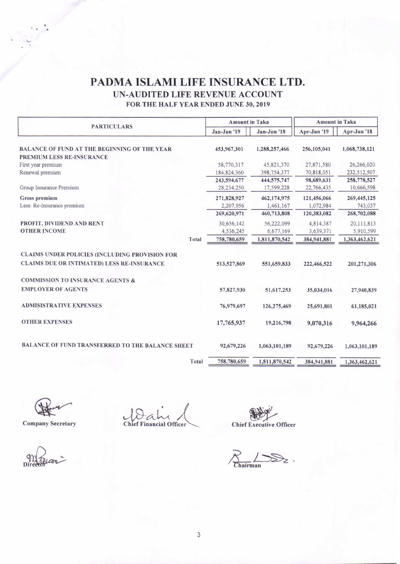## PADMA ISLAMI LIFE INSURANCE LTD. UN-AUDITED LIFE REVENUE ACCOUNT

FOR THE HALF YEAR ENDED JUNE 30. 2019

| <b>PARTICULARS</b>                                                               | <b>Amount in Taka</b> |               | <b>Amount in Taka</b> |               |
|----------------------------------------------------------------------------------|-----------------------|---------------|-----------------------|---------------|
|                                                                                  | Jan-Jun '19           | Jan-Jun '18   | Apr-Jun '19           | Apr-Jun '18   |
| BALANCE OF FUND AT THE BEGINNING OF THE YEAR<br><b>PREMIUM LESS RE-INSURANCE</b> | 453,967,301           | 1,288,257,466 | 256,105,041           | 1,068,738,121 |
| First year premium                                                               | 58,770,317            | 45,821,370    | 27,871,580            | 26,266,020    |
| Renewal premium                                                                  | 184,824,360           | 398,754,377   | 70,818,051            | 232,512,507   |
|                                                                                  | 243,594,677           | 444,575,747   | 98,689,631            | 258,778,527   |
| Group Insurance Premium                                                          | 28,234,250            | 17,599,228    | 22,766,435            | 10,666,598    |
| Gross premium                                                                    | 271,828,927           | 462,174,975   | 121,456,066           | 269,445,125   |
| Less: Re-Insurance premium                                                       | 2,207,956             | 1,461,167     | 1,072,984             | 743,037       |
|                                                                                  | 269,620,971           | 460,713,808   | 120,383,082           | 268,702,088   |
| PROFIT, DIVIDEND AND RENT                                                        | 30,656,142            | 56,222,099    | 4,814,387             | 20,111,813    |
| <b>OTHER INCOME</b>                                                              | 4,536,245             | 6,677,169     | 3,639,371             | 5,910,599     |
| Total                                                                            | 758,780,659           | 1,811,870,542 | 384,941,881           | 1,363,462,621 |
| <b>CLAIMS UNDER POLICIES (INCLUDING PROVISION FOR</b>                            |                       |               |                       |               |
| <b>CLAIMS DUE OR INTIMATED) LESS RE-INSURANCE</b>                                | 513,527,869           | 551,659,833   | 222,466,522           | 201,271,306   |
| <b>COMMISSION TO INSURANCE AGENTS &amp;</b>                                      |                       |               |                       |               |
| <b>EMPLOYER OF AGENTS</b>                                                        | 57,827,930            | 51,617,253    | 35,034,016            | 27,940,839    |
| <b>ADMISISTRATIVE EXPENSES</b>                                                   | 76,979,697            | 126,275,469   | 25,691,801            | 61,185,021    |
| <b>OTHER EXPENSES</b>                                                            | 17,765,937            | 19,216,798    | 9,070,316             | 9,964,266     |
| <b>BALANCE OF FUND TRANSFERRED TO THE BALANCE SHEET</b>                          | 92,679,226            | 1,063,101,189 | 92,679,226            | 1,063,101,189 |
| Total                                                                            | 758,780,659           | 1,811,870,542 | 384,941,881           | 1,363,462,621 |

Company Secretary

Company Secretary - Chief Financial Officer

Chief Executive Officer

 $R_{\text{chairman}}$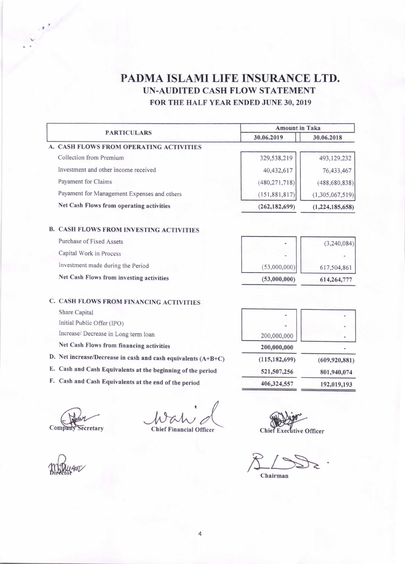## PADMA ISLAMI LIFE INSURANCE LTD. UN-AUDITED CASH FLOW STATEMENT FOR THE HALF YEAR ENDED JUNE 30, 2019

|                                                               | <b>Amount in Taka</b>          |                 |  |
|---------------------------------------------------------------|--------------------------------|-----------------|--|
| <b>PARTICULARS</b>                                            | 30.06.2019                     | 30.06.2018      |  |
| A. CASH FLOWS FROM OPERATING ACTIVITIES                       |                                |                 |  |
| Collection from Premium                                       | 329,538,219                    | 493,129,232     |  |
| Investment and other income received                          | 40,432,617                     | 76,433,467      |  |
| Payament for Claims                                           | (480, 271, 718)                | (488, 680, 838) |  |
| Payament for Management Expenses and others                   | (151, 881, 817)                | (1,305,067,519) |  |
| Net Cash Flows from operating activities                      | (262, 182, 699)                | (1,224,185,658) |  |
|                                                               |                                |                 |  |
| <b>B. CASH FLOWS FROM INVESTING ACTIVITIES</b>                |                                |                 |  |
| Purchase of Fixed Assets                                      |                                | (3,240,084)     |  |
| Capital Work in Process                                       |                                |                 |  |
| Investment made during the Period                             | (53,000,000)                   | 617,504,861     |  |
| Net Cash Flows from investing activities                      | (53,000,000)                   | 614,264,777     |  |
| C. CASH FLOWS FROM FINANCING ACTIVITIES                       |                                |                 |  |
| Share Capital                                                 |                                |                 |  |
| Initial Public Offer (IPO)                                    |                                |                 |  |
| Increase/ Decrease in Long term loan                          | 200,000,000                    |                 |  |
| Net Cash Flows from financing activities                      | 200,000,000                    |                 |  |
| D. Net increase/Decrease in cash and cash equivalents (A+B+C) | (115, 182, 699)                | (609, 920, 881) |  |
| E. Cash and Cash Equivalents at the beginning of the period   | 521,507,256                    | 801,940,074     |  |
| F.<br>Cash and Cash Equivalents at the end of the period      | 406,324,557                    | 192,019,193     |  |
|                                                               |                                |                 |  |
|                                                               |                                |                 |  |
| Company<br>Secretary<br><b>Chief Financial Officer</b>        | <b>Chief Executive Officer</b> |                 |  |

 $R_{\text{Chairman}}$ 

mayam